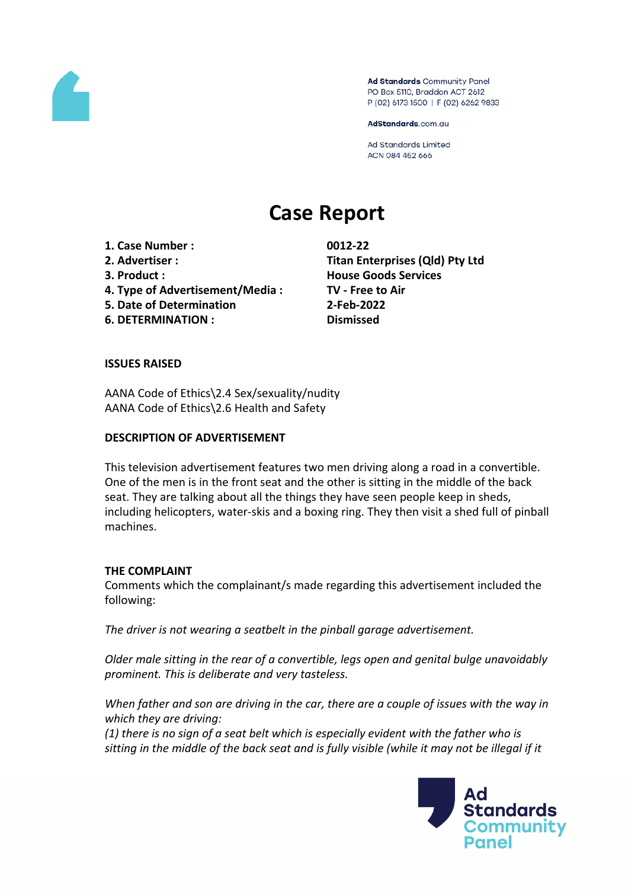

Ad Standards Community Panel PO Box 5110, Braddon ACT 2612 P (02) 6173 1500 | F (02) 6262 9833

AdStandards.com.au

**Ad Standards Limited** ACN 084 452 666

# **Case Report**

**1. Case Number : 0012-22**

- 
- 
- **4. Type of Advertisement/Media : TV - Free to Air**
- **5. Date of Determination 2-Feb-2022**

**6. DETERMINATION : Dismissed**

**2. Advertiser : Titan Enterprises (Qld) Pty Ltd 3. Product : House Goods Services**

# **ISSUES RAISED**

AANA Code of Ethics\2.4 Sex/sexuality/nudity AANA Code of Ethics\2.6 Health and Safety

# **DESCRIPTION OF ADVERTISEMENT**

This television advertisement features two men driving along a road in a convertible. One of the men is in the front seat and the other is sitting in the middle of the back seat. They are talking about all the things they have seen people keep in sheds, including helicopters, water-skis and a boxing ring. They then visit a shed full of pinball machines.

# **THE COMPLAINT**

Comments which the complainant/s made regarding this advertisement included the following:

*The driver is not wearing a seatbelt in the pinball garage advertisement.*

*Older male sitting in the rear of a convertible, legs open and genital bulge unavoidably prominent. This is deliberate and very tasteless.*

*When father and son are driving in the car, there are a couple of issues with the way in which they are driving:*

*(1) there is no sign of a seat belt which is especially evident with the father who is* sitting in the middle of the back seat and is fully visible (while it may not be illegal if it

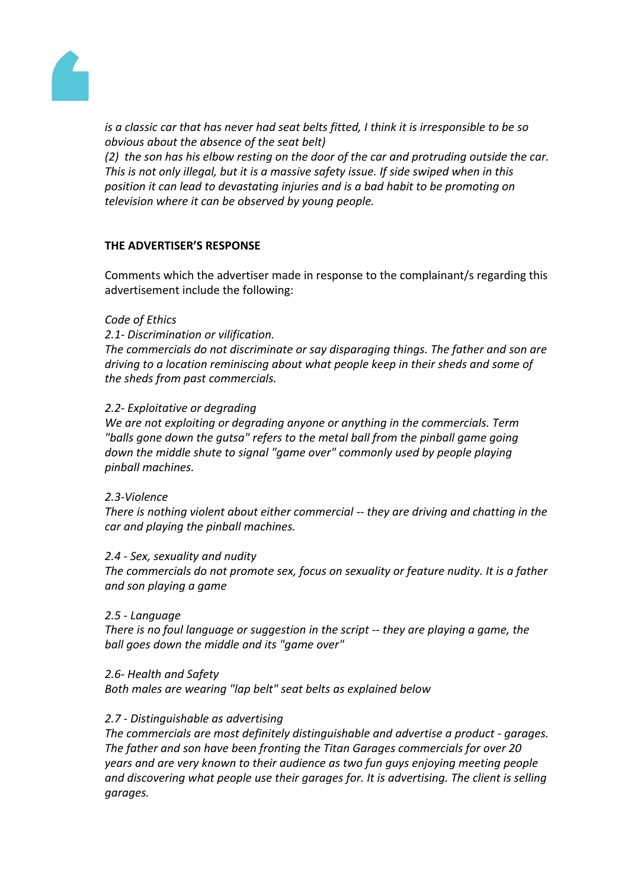

*is a classic car that has never had seat belts fitted, I think it is irresponsible to be so obvious about the absence of the seat belt)*

*(2) the son has his elbow resting on the door of the car and protruding outside the car. This is not only illegal, but it is a massive safety issue. If side swiped when in this position it can lead to devastating injuries and is a bad habit to be promoting on television where it can be observed by young people.*

# **THE ADVERTISER'S RESPONSE**

Comments which the advertiser made in response to the complainant/s regarding this advertisement include the following:

## *Code of Ethics*

*2.1- Discrimination or vilification.*

*The commercials do not discriminate or say disparaging things. The father and son are driving to a location reminiscing about what people keep in their sheds and some of the sheds from past commercials.*

# *2.2- Exploitative or degrading*

*We are not exploiting or degrading anyone or anything in the commercials. Term "balls gone down the gutsa" refers to the metal ball from the pinball game going down the middle shute to signal "game over" commonly used by people playing pinball machines.*

## *2.3-Violence*

*There is nothing violent about either commercial -- they are driving and chatting in the car and playing the pinball machines.*

## *2.4 - Sex, sexuality and nudity*

*The commercials do not promote sex, focus on sexuality or feature nudity. It is a father and son playing a game*

## *2.5 - Language*

*There is no foul language or suggestion in the script -- they are playing a game, the ball goes down the middle and its "game over"*

## *2.6- Health and Safety*

*Both males are wearing "lap belt" seat belts as explained below*

## *2.7 - Distinguishable as advertising*

*The commercials are most definitely distinguishable and advertise a product - garages. The father and son have been fronting the Titan Garages commercials for over 20 years and are very known to their audience as two fun guys enjoying meeting people and discovering what people use their garages for. It is advertising. The client is selling garages.*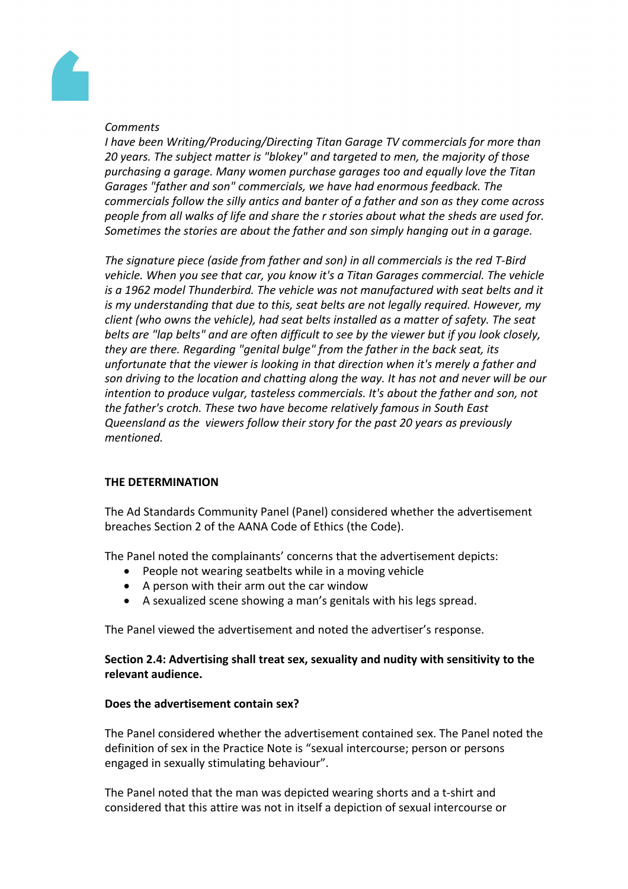

# *Comments*

*I have been Writing/Producing/Directing Titan Garage TV commercials for more than 20 years. The subject matter is "blokey" and targeted to men, the majority of those purchasing a garage. Many women purchase garages too and equally love the Titan Garages "father and son" commercials, we have had enormous feedback. The commercials follow the silly antics and banter of a father and son as they come across people from all walks of life and share the r stories about what the sheds are used for. Sometimes the stories are about the father and son simply hanging out in a garage.*

*The signature piece (aside from father and son) in all commercials is the red T-Bird vehicle. When you see that car, you know it's a Titan Garages commercial. The vehicle is a 1962 model Thunderbird. The vehicle was not manufactured with seat belts and it is my understanding that due to this, seat belts are not legally required. However, my client (who owns the vehicle), had seat belts installed as a matter of safety. The seat belts are "lap belts" and are often difficult to see by the viewer but if you look closely, they are there. Regarding "genital bulge" from the father in the back seat, its unfortunate that the viewer is looking in that direction when it's merely a father and son driving to the location and chatting along the way. It has not and never will be our intention to produce vulgar, tasteless commercials. It's about the father and son, not the father's crotch. These two have become relatively famous in South East Queensland as the viewers follow their story for the past 20 years as previously mentioned.*

# **THE DETERMINATION**

The Ad Standards Community Panel (Panel) considered whether the advertisement breaches Section 2 of the AANA Code of Ethics (the Code).

The Panel noted the complainants' concerns that the advertisement depicts:

- People not wearing seatbelts while in a moving vehicle
- A person with their arm out the car window
- A sexualized scene showing a man's genitals with his legs spread.

The Panel viewed the advertisement and noted the advertiser's response.

# **Section 2.4: Advertising shall treat sex, sexuality and nudity with sensitivity to the relevant audience.**

## **Does the advertisement contain sex?**

The Panel considered whether the advertisement contained sex. The Panel noted the definition of sex in the Practice Note is "sexual intercourse; person or persons engaged in sexually stimulating behaviour".

The Panel noted that the man was depicted wearing shorts and a t-shirt and considered that this attire was not in itself a depiction of sexual intercourse or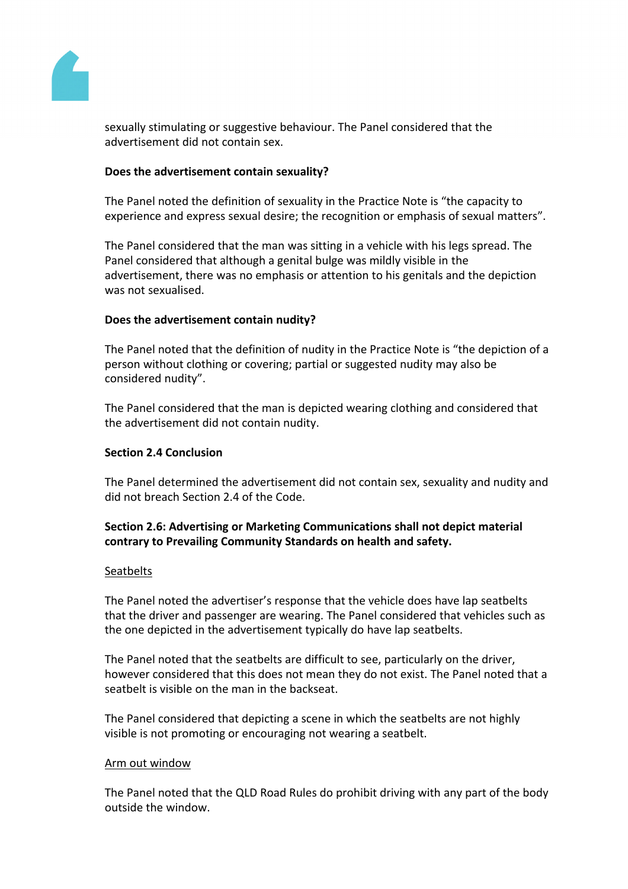

sexually stimulating or suggestive behaviour. The Panel considered that the advertisement did not contain sex.

## **Does the advertisement contain sexuality?**

The Panel noted the definition of sexuality in the Practice Note is "the capacity to experience and express sexual desire; the recognition or emphasis of sexual matters".

The Panel considered that the man was sitting in a vehicle with his legs spread. The Panel considered that although a genital bulge was mildly visible in the advertisement, there was no emphasis or attention to his genitals and the depiction was not sexualised.

# **Does the advertisement contain nudity?**

The Panel noted that the definition of nudity in the Practice Note is "the depiction of a person without clothing or covering; partial or suggested nudity may also be considered nudity".

The Panel considered that the man is depicted wearing clothing and considered that the advertisement did not contain nudity.

## **Section 2.4 Conclusion**

The Panel determined the advertisement did not contain sex, sexuality and nudity and did not breach Section 2.4 of the Code.

# **Section 2.6: Advertising or Marketing Communications shall not depict material contrary to Prevailing Community Standards on health and safety.**

## **Seatbelts**

The Panel noted the advertiser's response that the vehicle does have lap seatbelts that the driver and passenger are wearing. The Panel considered that vehicles such as the one depicted in the advertisement typically do have lap seatbelts.

The Panel noted that the seatbelts are difficult to see, particularly on the driver, however considered that this does not mean they do not exist. The Panel noted that a seatbelt is visible on the man in the backseat.

The Panel considered that depicting a scene in which the seatbelts are not highly visible is not promoting or encouraging not wearing a seatbelt.

## Arm out window

The Panel noted that the QLD Road Rules do prohibit driving with any part of the body outside the window.